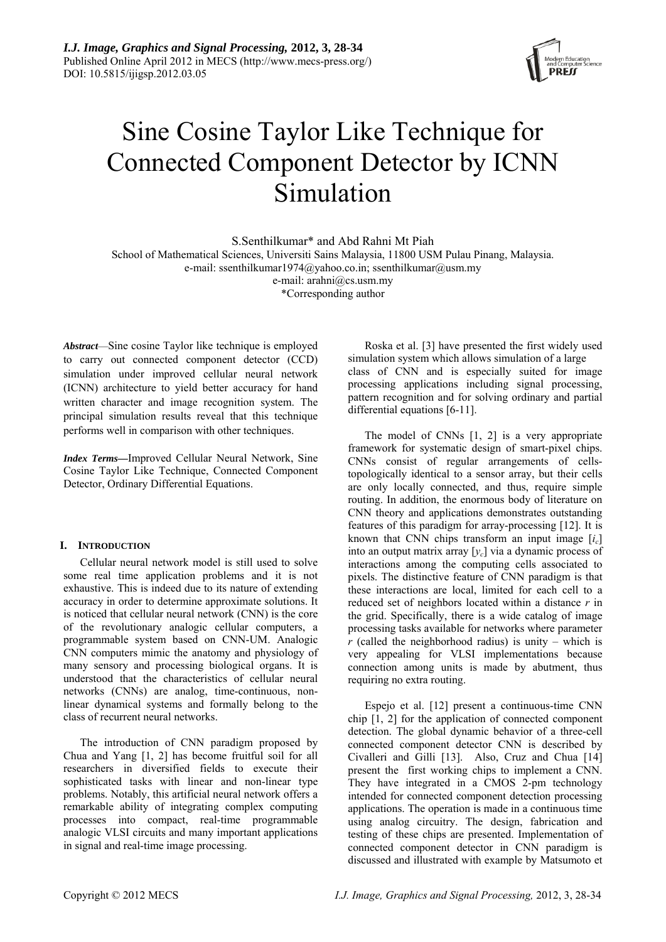

# Sine Cosine Taylor Like Technique for Connected Component Detector by ICNN Simulation

S.Senthilkumar\* and Abd Rahni Mt Piah

School of Mathematical Sciences, Universiti Sains Malaysia, 11800 USM Pulau Pinang, Malaysia. e-mail: ssenthilkumar1974@yahoo.co.in; ssenthilkumar@usm.my

e-mail: arahni@cs.usm.my

\*Corresponding author

*Abstract*—Sine cosine Taylor like technique is employed to carry out connected component detector (CCD) simulation under improved cellular neural network (ICNN) architecture to yield better accuracy for hand written character and image recognition system. The principal simulation results reveal that this technique performs well in comparison with other techniques.

*Index Terms—*Improved Cellular Neural Network, Sine Cosine Taylor Like Technique, Connected Component Detector, Ordinary Differential Equations.

# **I. INTRODUCTION**

Cellular neural network model is still used to solve some real time application problems and it is not exhaustive. This is indeed due to its nature of extending accuracy in order to determine approximate solutions. It is noticed that cellular neural network (CNN) is the core of the revolutionary analogic cellular computers, a programmable system based on CNN-UM. Analogic CNN computers mimic the anatomy and physiology of many sensory and processing biological organs. It is understood that the characteristics of cellular neural networks (CNNs) are analog, time-continuous, nonlinear dynamical systems and formally belong to the class of recurrent neural networks.

The introduction of CNN paradigm proposed by Chua and Yang [1, 2] has become fruitful soil for all researchers in diversified fields to execute their sophisticated tasks with linear and non-linear type problems. Notably, this artificial neural network offers a remarkable ability of integrating complex computing processes into compact, real-time programmable analogic VLSI circuits and many important applications in signal and real-time image processing.

Roska et al. [3] have presented the first widely used simulation system which allows simulation of a large class of CNN and is especially suited for image processing applications including signal processing, pattern recognition and for solving ordinary and partial differential equations [6-11].

The model of CNNs [1, 2] is a very appropriate framework for systematic design of smart-pixel chips. CNNs consist of regular arrangements of cellstopologically identical to a sensor array, but their cells are only locally connected, and thus, require simple routing. In addition, the enormous body of literature on CNN theory and applications demonstrates outstanding features of this paradigm for array-processing [12]. It is known that CNN chips transform an input image  $[i<sub>c</sub>]$ into an output matrix array [*yc*] via a dynamic process of interactions among the computing cells associated to pixels. The distinctive feature of CNN paradigm is that these interactions are local, limited for each cell to a reduced set of neighbors located within a distance *r* in the grid. Specifically, there is a wide catalog of image processing tasks available for networks where parameter  $r$  (called the neighborhood radius) is unity – which is very appealing for VLSI implementations because connection among units is made by abutment, thus requiring no extra routing.

Espejo et al. [12] present a continuous-time CNN chip [1, 2] for the application of connected component detection. The global dynamic behavior of a three-cell connected component detector CNN is described by Civalleri and Gilli [13]. Also, Cruz and Chua [14] present the first working chips to implement a CNN. They have integrated in a CMOS 2-pm technology intended for connected component detection processing applications. The operation is made in a continuous time using analog circuitry. The design, fabrication and testing of these chips are presented. Implementation of connected component detector in CNN paradigm is discussed and illustrated with example by Matsumoto et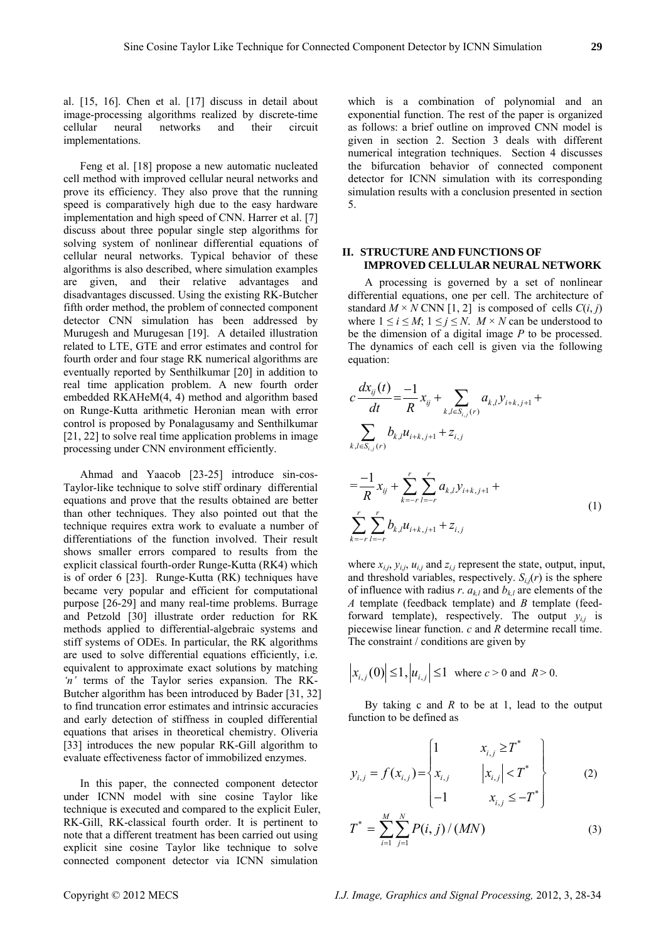al. [15, 16]. Chen et al. [17] discuss in detail about image-processing algorithms realized by discrete-time cellular neural networks and their circuit implementations.

Feng et al. [18] propose a new automatic nucleated cell method with improved cellular neural networks and prove its efficiency. They also prove that the running speed is comparatively high due to the easy hardware implementation and high speed of CNN. Harrer et al. [7] discuss about three popular single step algorithms for solving system of nonlinear differential equations of cellular neural networks. Typical behavior of these algorithms is also described, where simulation examples are given, and their relative advantages and disadvantages discussed. Using the existing RK-Butcher fifth order method, the problem of connected component detector CNN simulation has been addressed by Murugesh and Murugesan [19]. A detailed illustration related to LTE, GTE and error estimates and control for fourth order and four stage RK numerical algorithms are eventually reported by Senthilkumar [20] in addition to real time application problem. A new fourth order embedded RKAHeM(4, 4) method and algorithm based on Runge-Kutta arithmetic Heronian mean with error control is proposed by Ponalagusamy and Senthilkumar [21, 22] to solve real time application problems in image processing under CNN environment efficiently.

Ahmad and Yaacob [23-25] introduce sin-cos-Taylor-like technique to solve stiff ordinary differential equations and prove that the results obtained are better than other techniques. They also pointed out that the technique requires extra work to evaluate a number of differentiations of the function involved. Their result shows smaller errors compared to results from the explicit classical fourth-order Runge-Kutta (RK4) which is of order 6 [23]. Runge-Kutta (RK) techniques have became very popular and efficient for computational purpose [26-29] and many real-time problems. Burrage and Petzold [30] illustrate order reduction for RK methods applied to differential-algebraic systems and stiff systems of ODEs. In particular, the RK algorithms are used to solve differential equations efficiently, i.e. equivalent to approximate exact solutions by matching *'n'* terms of the Taylor series expansion. The RK-Butcher algorithm has been introduced by Bader [31, 32] to find truncation error estimates and intrinsic accuracies and early detection of stiffness in coupled differential equations that arises in theoretical chemistry. Oliveria [33] introduces the new popular RK-Gill algorithm to evaluate effectiveness factor of immobilized enzymes.

In this paper, the connected component detector under ICNN model with sine cosine Taylor like technique is executed and compared to the explicit Euler, RK-Gill, RK-classical fourth order. It is pertinent to note that a different treatment has been carried out using explicit sine cosine Taylor like technique to solve connected component detector via ICNN simulation

which is a combination of polynomial and an exponential function. The rest of the paper is organized as follows: a brief outline on improved CNN model is given in section 2. Section 3 deals with different numerical integration techniques. Section 4 discusses the bifurcation behavior of connected component detector for ICNN simulation with its corresponding simulation results with a conclusion presented in section 5.

# **II. STRUCTURE AND FUNCTIONS OF IMPROVED CELLULAR NEURAL NETWORK**

A processing is governed by a set of nonlinear differential equations, one per cell. The architecture of standard  $M \times N$  CNN [1, 2] is composed of cells  $C(i, j)$ where  $1 \le i \le M$ ;  $1 \le j \le N$ .  $M \times N$  can be understood to be the dimension of a digital image *P* to be processed. The dynamics of each cell is given via the following equation:

$$
c\frac{dx_{ij}(t)}{dt} = \frac{-1}{R}x_{ij} + \sum_{k,l \in S_{i,j}(r)} a_{k,l}y_{i+k,j+1} + \sum_{k,l \in S_{i,j}(r)} b_{k,l}u_{i+k,j+1} + z_{i,j}
$$

$$
=\frac{-1}{R}x_{ij} + \sum_{k=-r}^{r} \sum_{l=-r}^{r} a_{k,l} y_{i+k,j+1} + \sum_{k=-r}^{r} \sum_{l=-r}^{r} b_{k,l} u_{i+k,j+1} + z_{i,j}
$$
\n(1)

where  $x_{i,j}$ ,  $y_{i,j}$ ,  $u_{i,j}$  and  $z_{i,j}$  represent the state, output, input, and threshold variables, respectively.  $S_{i,j}(r)$  is the sphere of influence with radius *r*.  $a_{k,l}$  and  $b_{k,l}$  are elements of the *A* template (feedback template) and *B* template (feedforward template), respectively. The output  $y_{i,j}$  is piecewise linear function. *c* and *R* determine recall time. The constraint / conditions are given by

$$
\left|x_{i,j}(0)\right| \le 1, \left|u_{i,j}\right| \le 1 \text{ where } c > 0 \text{ and } R > 0.
$$

By taking c and *R* to be at 1, lead to the output function to be defined as

$$
y_{i,j} = f(x_{i,j}) = \begin{cases} 1 & x_{i,j} \ge T^* \\ x_{i,j} & |x_{i,j}| < T^* \\ -1 & x_{i,j} \le -T^* \end{cases}
$$
 (2)

$$
T^* = \sum_{i=1}^{M} \sum_{j=1}^{N} P(i, j) / (MN)
$$
 (3)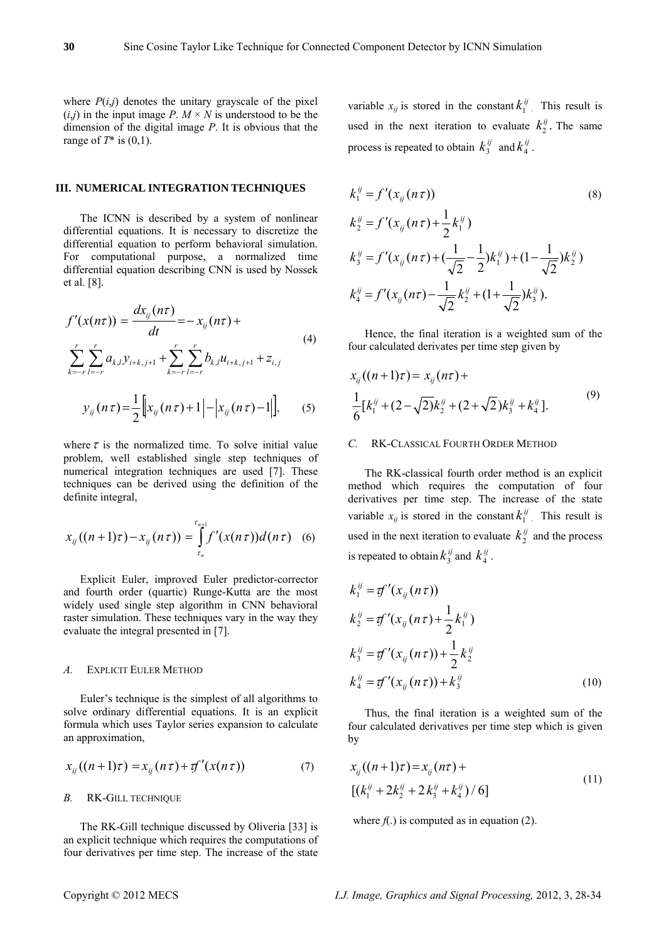where  $P(i,j)$  denotes the unitary grayscale of the pixel  $(i,j)$  in the input image *P*.  $M \times N$  is understood to be the dimension of the digital image *P*. It is obvious that the range of *T*\* is (0,1).

# **III. NUMERICAL INTEGRATION TECHNIQUES**

The ICNN is described by a system of nonlinear differential equations. It is necessary to discretize the differential equation to perform behavioral simulation. For computational purpose, a normalized time differential equation describing CNN is used by Nossek et al. [8].

$$
f'(x(n\tau)) = \frac{dx_{ij}(n\tau)}{dt} = -x_{ij}(n\tau) +
$$
  

$$
\sum_{k=-r}^{r} \sum_{l=-r}^{r} a_{k,l} y_{i+k,j+1} + \sum_{k=-r}^{r} \sum_{l=-r}^{r} b_{k,l} u_{i+k,j+1} + z_{i,j}
$$
  

$$
y_{ij}(n\tau) = \frac{1}{2} \Big[ x_{ij}(n\tau) + 1 \Big| - |x_{ij}(n\tau) - 1| \Big],
$$
 (5)

where  $\tau$  is the normalized time. To solve initial value problem, well established single step techniques of numerical integration techniques are used [7]. These techniques can be derived using the definition of the definite integral,

$$
x_{ij}((n+1)\tau) - x_{ij}(n\tau)) = \int_{\tau_n}^{\tau_{n+1}} f'(x(n\tau))d(n\tau) \quad (6)
$$

Explicit Euler, improved Euler predictor-corrector and fourth order (quartic) Runge-Kutta are the most widely used single step algorithm in CNN behavioral raster simulation. These techniques vary in the way they evaluate the integral presented in [7].

# *A.* EXPLICIT EULER METHOD

Euler's technique is the simplest of all algorithms to solve ordinary differential equations. It is an explicit formula which uses Taylor series expansion to calculate an approximation,

$$
x_{ij}((n+1)\tau) = x_{ij}(n\tau) + \tau f'(x(n\tau))
$$
\n(7)

# *B.* RK-GILL TECHNIQUE

The RK-Gill technique discussed by Oliveria [33] is an explicit technique which requires the computations of four derivatives per time step. The increase of the state variable  $x_{ij}$  is stored in the constant  $k_1^{ij}$ . This result is used in the next iteration to evaluate  $k_2^{ij}$ . The same process is repeated to obtain  $k_3^{ij}$  and  $k_4^{ij}$ .

$$
k_1^{ij} = f'(x_{ij}(n\tau))
$$
\n
$$
k_2^{ij} = f'(x_{ij}(n\tau) + \frac{1}{2}k_1^{ij})
$$
\n
$$
k_3^{ij} = f'(x_{ij}(n\tau) + (\frac{1}{\sqrt{2}} - \frac{1}{2})k_1^{ij}) + (1 - \frac{1}{\sqrt{2}})k_2^{ij})
$$
\n
$$
k_4^{ij} = f'(x_{ij}(n\tau) - \frac{1}{\sqrt{2}}k_2^{ij} + (1 + \frac{1}{\sqrt{2}})k_3^{ij}).
$$
\n(8)

Hence, the final iteration is a weighted sum of the four calculated derivates per time step given by

$$
x_{ij}((n+1)\tau) = x_{ij}(n\tau) +
$$
  
\n
$$
\frac{1}{6}[k_1^{ij} + (2-\sqrt{2})k_2^{ij} + (2+\sqrt{2})k_3^{ij} + k_4^{ij}].
$$
\n(9)

### *C.* RK-CLASSICAL FOURTH ORDER METHOD

The RK-classical fourth order method is an explicit method which requires the computation of four derivatives per time step. The increase of the state variable  $x_{ij}$  is stored in the constant  $k_1^{ij}$ . This result is used in the next iteration to evaluate  $k_2^{ij}$  and the process is repeated to obtain  $k_3^{ij}$  and  $k_4^{ij}$ .

$$
k_1^{ij} = \mathcal{F}'(x_{ij}(n\tau))
$$
  
\n
$$
k_2^{ij} = \mathcal{F}'(x_{ij}(n\tau) + \frac{1}{2}k_1^{ij})
$$
  
\n
$$
k_3^{ij} = \mathcal{F}'(x_{ij}(n\tau)) + \frac{1}{2}k_2^{ij}
$$
  
\n
$$
k_4^{ij} = \mathcal{F}'(x_{ij}(n\tau)) + k_3^{ij}
$$
\n(10)

Thus, the final iteration is a weighted sum of the four calculated derivatives per time step which is given by

$$
x_{ij}((n+1)\tau) = x_{ij}(n\tau) +
$$
  
 
$$
[(k_1^{ij} + 2k_2^{ij} + 2k_3^{ij} + k_4^{ij})/6]
$$
 (11)

where  $f(.)$  is computed as in equation (2).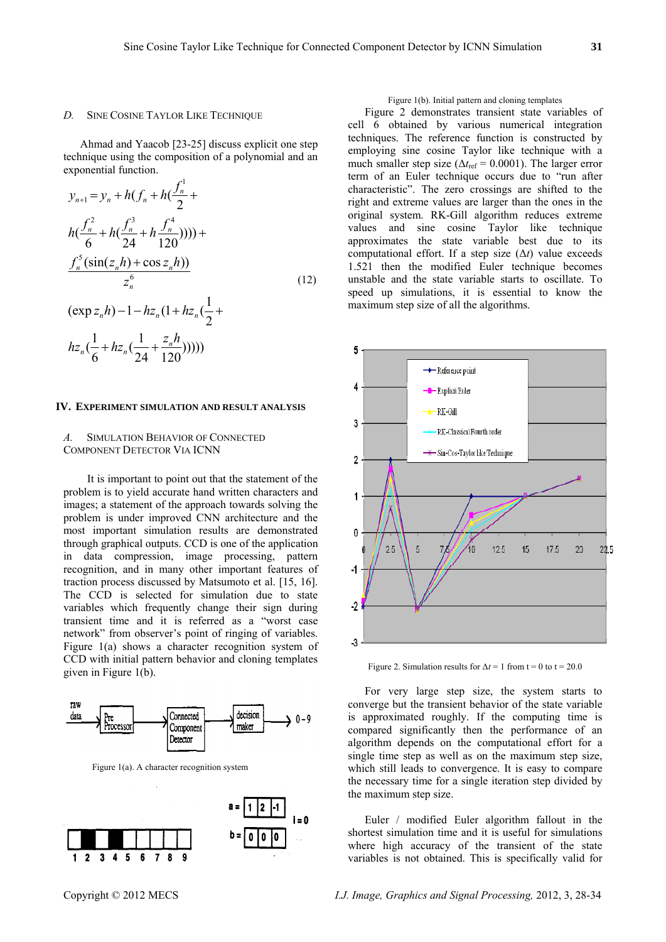#### *D.* SINE COSINE TAYLOR LIKE TECHNIQUE

Ahmad and Yaacob [23-25] discuss explicit one step technique using the composition of a polynomial and an exponential function.

$$
y_{n+1} = y_n + h(f_n + h(\frac{f_n^1}{2} + h(\frac{f_n^2}{2} + h(\frac{f_n^3}{24} + h\frac{f_n^4}{120})))) +
$$
  

$$
\frac{f_n^5(\sin(z_n h) + \cos z_n h)}{z_n^6}
$$
  

$$
(\exp z_n h) - 1 - h z_n (1 + h z_n (\frac{1}{2} + h z_n (\frac{1}{24} + \frac{z_n h}{120}))))
$$
 (12)

#### **IV. EXPERIMENT SIMULATION AND RESULT ANALYSIS**

# *A.* SIMULATION BEHAVIOR OF CONNECTED COMPONENT DETECTOR VIA ICNN

It is important to point out that the statement of the problem is to yield accurate hand written characters and images; a statement of the approach towards solving the problem is under improved CNN architecture and the most important simulation results are demonstrated through graphical outputs. CCD is one of the application in data compression, image processing, pattern recognition, and in many other important features of traction process discussed by Matsumoto et al. [15, 16]. The CCD is selected for simulation due to state variables which frequently change their sign during transient time and it is referred as a "worst case network" from observer's point of ringing of variables. Figure 1(a) shows a character recognition system of CCD with initial pattern behavior and cloning templates given in Figure 1(b).



Figure 1(a). A character recognition system



# Figure 1(b). Initial pattern and cloning templates

Figure 2 demonstrates transient state variables of cell 6 obtained by various numerical integration techniques. The reference function is constructed by employing sine cosine Taylor like technique with a much smaller step size ( $\Delta t_{\text{ref}}$  = 0.0001). The larger error term of an Euler technique occurs due to "run after characteristic". The zero crossings are shifted to the right and extreme values are larger than the ones in the original system. RK-Gill algorithm reduces extreme values and sine cosine Taylor like technique approximates the state variable best due to its computational effort. If a step size  $(\Delta t)$  value exceeds 1.521 then the modified Euler technique becomes unstable and the state variable starts to oscillate. To speed up simulations, it is essential to know the maximum step size of all the algorithms.



Figure 2. Simulation results for  $\Delta t = 1$  from t = 0 to t = 20.0

For very large step size, the system starts to converge but the transient behavior of the state variable is approximated roughly. If the computing time is compared significantly then the performance of an algorithm depends on the computational effort for a single time step as well as on the maximum step size, which still leads to convergence. It is easy to compare the necessary time for a single iteration step divided by the maximum step size.

Euler / modified Euler algorithm fallout in the shortest simulation time and it is useful for simulations where high accuracy of the transient of the state variables is not obtained. This is specifically valid for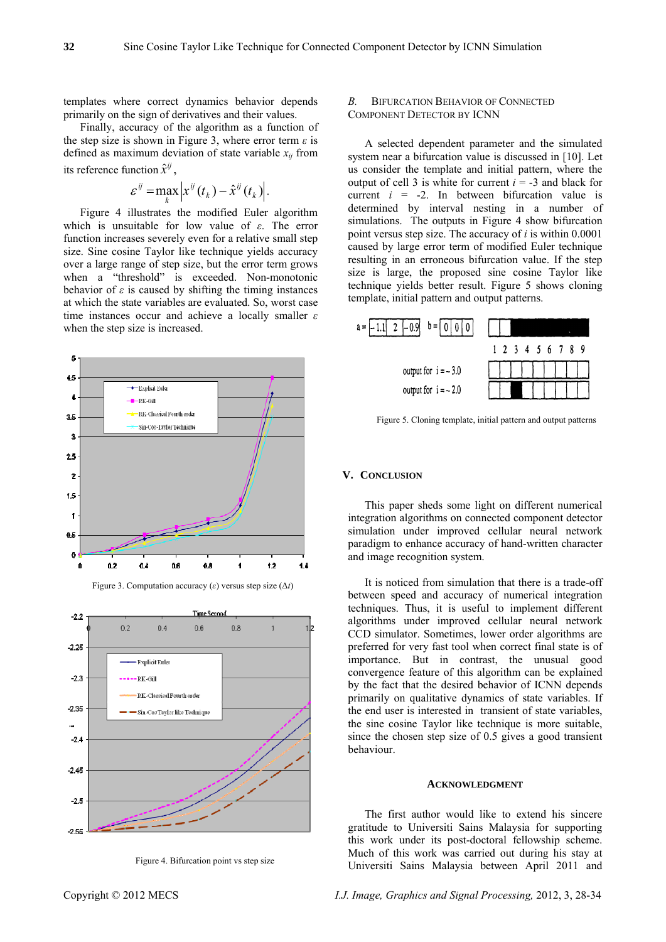templates where correct dynamics behavior depends primarily on the sign of derivatives and their values.

Finally, accuracy of the algorithm as a function of the step size is shown in Figure 3, where error term *ε* is defined as maximum deviation of state variable  $x_{ij}$  from its reference function  $\hat{x}^{ij}$ ,

$$
\varepsilon^{ij} = \max_{k} \left| x^{ij}(t_k) - \hat{x}^{ij}(t_k) \right|.
$$

Figure 4 illustrates the modified Euler algorithm which is unsuitable for low value of *ε*. The error function increases severely even for a relative small step size. Sine cosine Taylor like technique yields accuracy over a large range of step size, but the error term grows when a "threshold" is exceeded. Non-monotonic behavior of  $\varepsilon$  is caused by shifting the timing instances at which the state variables are evaluated. So, worst case time instances occur and achieve a locally smaller *ε* when the step size is increased.







Figure 4. Bifurcation point vs step size

# *B.* BIFURCATION BEHAVIOR OF CONNECTED COMPONENT DETECTOR BY ICNN

A selected dependent parameter and the simulated system near a bifurcation value is discussed in [10]. Let us consider the template and initial pattern, where the output of cell 3 is white for current  $i = -3$  and black for current  $i = -2$ . In between bifurcation value is determined by interval nesting in a number of simulations. The outputs in Figure 4 show bifurcation point versus step size. The accuracy of *i* is within 0.0001 caused by large error term of modified Euler technique resulting in an erroneous bifurcation value. If the step size is large, the proposed sine cosine Taylor like technique yields better result. Figure 5 shows cloning template, initial pattern and output patterns.



Figure 5. Cloning template, initial pattern and output patterns

# **V. CONCLUSION**

This paper sheds some light on different numerical integration algorithms on connected component detector simulation under improved cellular neural network paradigm to enhance accuracy of hand-written character and image recognition system.

It is noticed from simulation that there is a trade-off between speed and accuracy of numerical integration techniques. Thus, it is useful to implement different algorithms under improved cellular neural network CCD simulator. Sometimes, lower order algorithms are preferred for very fast tool when correct final state is of importance. But in contrast, the unusual good convergence feature of this algorithm can be explained by the fact that the desired behavior of ICNN depends primarily on qualitative dynamics of state variables. If the end user is interested in transient of state variables, the sine cosine Taylor like technique is more suitable, since the chosen step size of 0.5 gives a good transient behaviour.

#### **ACKNOWLEDGMENT**

The first author would like to extend his sincere gratitude to Universiti Sains Malaysia for supporting this work under its post-doctoral fellowship scheme. Much of this work was carried out during his stay at Universiti Sains Malaysia between April 2011 and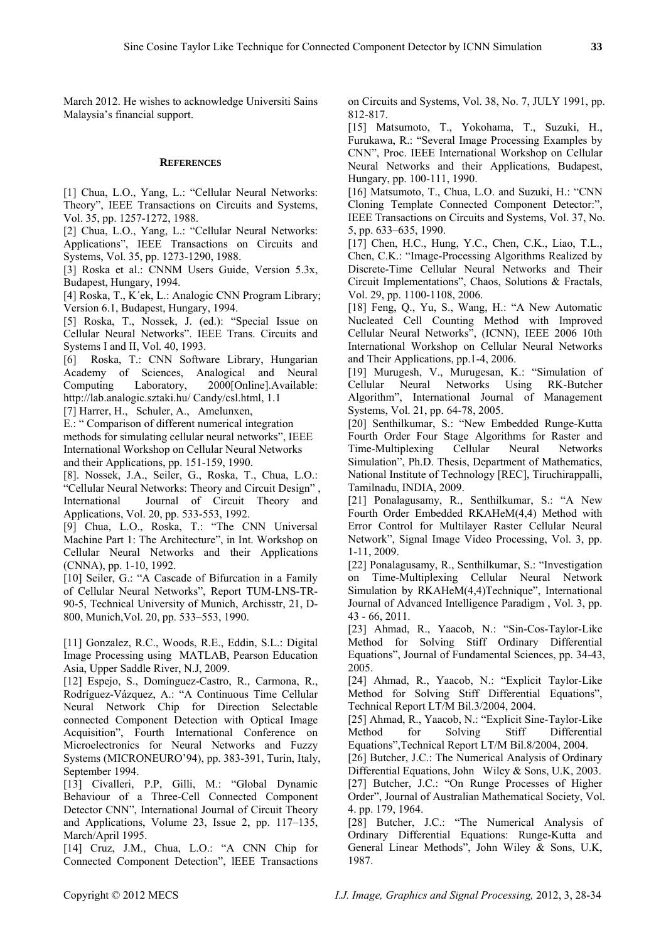March 2012. He wishes to acknowledge Universiti Sains Malaysia's financial support.

## **REFERENCES**

[1] Chua, L.O., Yang, L.: "Cellular Neural Networks: Theory", IEEE Transactions on Circuits and Systems, Vol. 35, pp. 1257-1272, 1988.

[2] Chua, L.O., Yang, L.: "Cellular Neural Networks: Applications", IEEE Transactions on Circuits and Systems, Vol. 35, pp. 1273-1290, 1988.

[3] Roska et al.: CNNM Users Guide, Version 5.3x, Budapest, Hungary, 1994.

[4] Roska, T., K´ek, L.: Analogic CNN Program Library; Version 6.1, Budapest, Hungary, 1994.

[5] Roska, T., Nossek, J. (ed.): "Special Issue on Cellular Neural Networks". IEEE Trans. Circuits and Systems I and II, Vol. 40, 1993.

[6] Roska, T.: CNN Software Library, Hungarian Academy of Sciences, Analogical and Neural Computing Laboratory, 2000[Online].Available: http://lab.analogic.sztaki.hu/ Candy/csl.html, 1.1

[7] Harrer, H., Schuler, A., Amelunxen,

E.: " Comparison of different numerical integration methods for simulating cellular neural networks", IEEE International Workshop on Cellular Neural Networks and their Applications, pp. 151-159, 1990.

[8]. Nossek, J.A., Seiler, G., Roska, T., Chua, L.O.: "Cellular Neural Networks: Theory and Circuit Design" , International Journal of Circuit Theory and Applications, Vol. 20, pp. 533-553, 1992.

[9] Chua, L.O., Roska, T.: "The CNN Universal Machine Part 1: The Architecture", in Int. Workshop on Cellular Neural Networks and their Applications (CNNA), pp. 1-10, 1992.

[10] Seiler, G.: "A Cascade of Bifurcation in a Family of Cellular Neural Networks", Report TUM-LNS-TR-90-5, Technical University of Munich, Archisstr, 21, D-800, Munich,Vol. 20, pp. 533–553, 1990.

[11] Gonzalez, R.C., Woods, R.E., Eddin, S.L.: Digital Image Processing using MATLAB, Pearson Education Asia, Upper Saddle River, N.J, 2009.

[12] Espejo, S., Domínguez-Castro, R., Carmona, R., Rodríguez-Vázquez, A.: "A Continuous Time Cellular Neural Network Chip for Direction Selectable connected Component Detection with Optical Image Acquisition", Fourth International Conference on Microelectronics for Neural Networks and Fuzzy Systems (MICRONEURO'94), pp. 383-391, Turin, Italy, September 1994.

[13] Civalleri, P.P, Gilli, M.: "Global Dynamic Behaviour of a Three-Cell Connected Component Detector CNN", International Journal of Circuit Theory and Applications, Volume 23, Issue 2, pp. 117–135, March/April 1995.

[14] Cruz, J.M., Chua, L.O.: "A CNN Chip for Connected Component Detection", lEEE Transactions on Circuits and Systems, Vol. 38, No. 7, JULY 1991, pp. 812-817.

[15] Matsumoto, T., Yokohama, T., Suzuki, H., Furukawa, R.: "Several Image Processing Examples by CNN", Proc. IEEE International Workshop on Cellular Neural Networks and their Applications, Budapest, Hungary, pp. 100-111, 1990.

[16] Matsumoto, T., Chua, L.O. and Suzuki, H.: "CNN Cloning Template Connected Component Detector:", IEEE Transactions on Circuits and Systems, Vol. 37, No. 5, pp. 633–635, 1990.

[17] Chen, H.C., Hung, Y.C., Chen, C.K., Liao, T.L., Chen, C.K.: "Image-Processing Algorithms Realized by Discrete-Time Cellular Neural Networks and Their Circuit Implementations", Chaos, Solutions & Fractals, Vol. 29, pp. 1100-1108, 2006.

[18] Feng, Q., Yu, S., Wang, H.: "A New Automatic Nucleated Cell Counting Method with Improved Cellular Neural Networks", (ICNN), IEEE 2006 10th International Workshop on Cellular Neural Networks and Their Applications, pp.1-4, 2006.

[19] Murugesh, V., Murugesan, K.: "Simulation of Cellular Neural Networks Using RK-Butcher Algorithm", International Journal of Management Systems, Vol. 21, pp. 64-78, 2005.

[20] Senthilkumar, S.: "New Embedded Runge-Kutta Fourth Order Four Stage Algorithms for Raster and Time-Multiplexing Cellular Neural Networks Simulation", Ph.D. Thesis, Department of Mathematics, National Institute of Technology [REC], Tiruchirappalli, Tamilnadu, INDIA, 2009.

[21] Ponalagusamy, R., Senthilkumar, S.: "A New Fourth Order Embedded RKAHeM(4,4) Method with Error Control for Multilayer Raster Cellular Neural Network", Signal Image Video Processing, Vol. 3, pp. 1-11, 2009.

[22] Ponalagusamy, R., Senthilkumar, S.: "Investigation on Time-Multiplexing Cellular Neural Network Simulation by RKAHeM(4,4)Technique", International Journal of Advanced Intelligence Paradigm , Vol. 3, pp. 43 - 66, 2011.

[23] Ahmad, R., Yaacob, N.: "Sin-Cos-Taylor-Like Method for Solving Stiff Ordinary Differential Equations", Journal of Fundamental Sciences, pp. 34-43, 2005.

[24] Ahmad, R., Yaacob, N.: "Explicit Taylor-Like Method for Solving Stiff Differential Equations", Technical Report LT/M Bil.3/2004, 2004.

[25] Ahmad, R., Yaacob, N.: "Explicit Sine-Taylor-Like Method for Solving Stiff Differential Equations",Technical Report LT/M Bil.8/2004, 2004.

[26] Butcher, J.C.: The Numerical Analysis of Ordinary Differential Equations, John Wiley & Sons, U.K, 2003.

[27] Butcher, J.C.: "On Runge Processes of Higher Order", Journal of Australian Mathematical Society, Vol. 4. pp. 179, 1964.

[28] Butcher, J.C.: "The Numerical Analysis of Ordinary Differential Equations: Runge-Kutta and General Linear Methods", John Wiley & Sons, U.K, 1987.